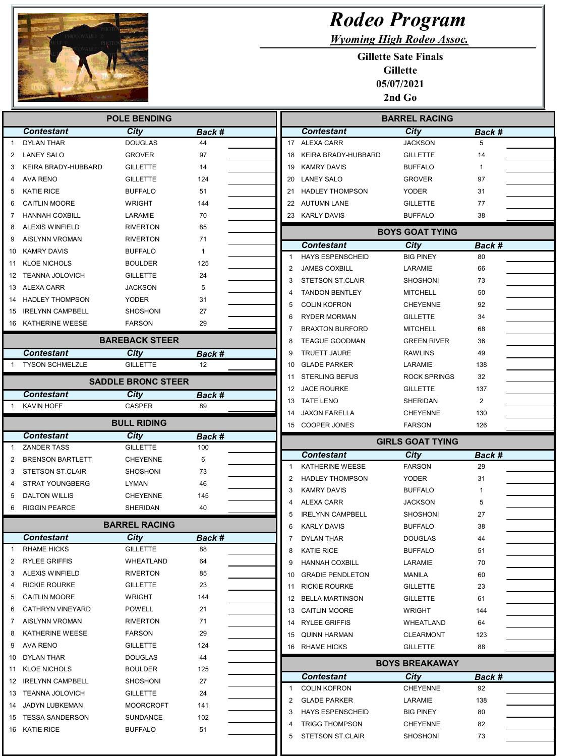

## Rodeo Program

Wyoming High Rodeo Assoc.

Gillette Sate Finals Gillette 05/07/2021 2nd Go

|    |                         | <b>POLE BENDING</b>       |               | <b>BARREL RACING</b>                           |                                    |                |
|----|-------------------------|---------------------------|---------------|------------------------------------------------|------------------------------------|----------------|
|    | <b>Contestant</b>       | <b>City</b>               | Back #        | <b>Contestant</b>                              | <b>City</b>                        | Back #         |
|    | <b>DYLAN THAR</b>       | <b>DOUGLAS</b>            | 44            | 17 ALEXA CARR                                  | <b>JACKSON</b>                     | 5              |
| 2  | <b>LANEY SALO</b>       | <b>GROVER</b>             | 97            | KEIRA BRADY-HUBBARD<br>18                      | <b>GILLETTE</b>                    | 14             |
| 3  | KEIRA BRADY-HUBBARD     | <b>GILLETTE</b>           | 14            | <b>KAMRY DAVIS</b><br>19                       | <b>BUFFALO</b>                     | $\mathbf{1}$   |
| 4  | AVA RENO                | <b>GILLETTE</b>           | 124           | <b>LANEY SALO</b><br>20                        | <b>GROVER</b>                      | 97             |
| 5  | <b>KATIE RICE</b>       | <b>BUFFALO</b>            | 51            | <b>HADLEY THOMPSON</b><br>21                   | YODER                              | 31             |
| 6  | <b>CAITLIN MOORE</b>    | <b>WRIGHT</b>             | 144           | 22 AUTUMN LANE                                 | <b>GILLETTE</b>                    | 77             |
| 7  | <b>HANNAH COXBILL</b>   | LARAMIE                   | 70            | 23 KARLY DAVIS                                 | <b>BUFFALO</b>                     | 38             |
| 8  | <b>ALEXIS WINFIELD</b>  | <b>RIVERTON</b>           | 85            |                                                | <b>BOYS GOAT TYING</b>             |                |
| 9  | AISLYNN VROMAN          | <b>RIVERTON</b>           | 71            | <b>Contestant</b>                              | City                               | Back #         |
| 10 | <b>KAMRY DAVIS</b>      | <b>BUFFALO</b>            | 1             | <b>HAYS ESPENSCHEID</b>                        | <b>BIG PINEY</b>                   | 80             |
| 11 | <b>KLOE NICHOLS</b>     | <b>BOULDER</b>            | 125           | <b>JAMES COXBILL</b><br>2                      | LARAMIE                            | 66             |
| 12 | <b>TEANNA JOLOVICH</b>  | <b>GILLETTE</b>           | 24            | <b>STETSON ST.CLAIR</b><br>3                   | <b>SHOSHONI</b>                    | 73             |
| 13 | ALEXA CARR              | <b>JACKSON</b>            | 5             | <b>TANDON BENTLEY</b><br>4                     | <b>MITCHELL</b>                    | 50             |
| 14 | <b>HADLEY THOMPSON</b>  | <b>YODER</b>              | 31            | 5<br><b>COLIN KOFRON</b>                       | <b>CHEYENNE</b>                    | 92             |
| 15 | <b>IRELYNN CAMPBELL</b> | <b>SHOSHONI</b>           | 27            | 6<br><b>RYDER MORMAN</b>                       | <b>GILLETTE</b>                    | 34             |
|    | 16 KATHERINE WEESE      | <b>FARSON</b>             | 29            | <b>BRAXTON BURFORD</b>                         | <b>MITCHELL</b>                    | 68             |
|    |                         | <b>BAREBACK STEER</b>     |               | <b>TEAGUE GOODMAN</b><br>8                     | <b>GREEN RIVER</b>                 | 36             |
|    | <b>Contestant</b>       | City                      | Back #        | <b>TRUETT JAURE</b><br>9                       | <b>RAWLINS</b>                     | 49             |
| -1 | <b>TYSON SCHMELZLE</b>  | <b>GILLETTE</b>           | 12            | <b>GLADE PARKER</b><br>10                      | <b>LARAMIE</b>                     | 138            |
|    |                         |                           |               | <b>STERLING BEFUS</b><br>11                    | <b>ROCK SPRINGS</b>                | 32             |
|    |                         | <b>SADDLE BRONC STEER</b> |               | 12 JACE ROURKE                                 | <b>GILLETTE</b>                    | 137            |
|    | <b>Contestant</b>       | <b>City</b>               | Back #        | <b>TATE LENO</b><br>13                         | <b>SHERIDAN</b>                    | $\overline{2}$ |
|    | KAVIN HOFF              | <b>CASPER</b>             | 89            | <b>JAXON FARELLA</b><br>14                     | <b>CHEYENNE</b>                    | 130            |
|    |                         | <b>BULL RIDING</b>        |               | COOPER JONES<br>15                             | <b>FARSON</b>                      | 126            |
|    |                         |                           |               |                                                |                                    |                |
|    | <b>Contestant</b>       | City                      | <b>Back #</b> |                                                | <b>GIRLS GOAT TYING</b>            |                |
|    | <b>ZANDER TASS</b>      | <b>GILLETTE</b>           | 100           | <b>Contestant</b>                              | <b>City</b>                        | Back #         |
| 2  | <b>BRENSON BARTLETT</b> | <b>CHEYENNE</b>           | 6             | KATHERINE WEESE                                | <b>FARSON</b>                      | 29             |
| 3  | <b>STETSON ST.CLAIR</b> | <b>SHOSHONI</b>           | 73            | <b>HADLEY THOMPSON</b><br>2                    | <b>YODER</b>                       | 31             |
|    | <b>STRAT YOUNGBERG</b>  | <b>LYMAN</b>              | 46            | <b>KAMRY DAVIS</b><br>3                        | <b>BUFFALO</b>                     | 1              |
| 5  | <b>DALTON WILLIS</b>    | <b>CHEYENNE</b>           | 145           | <b>ALEXA CARR</b>                              | <b>JACKSON</b>                     | 5              |
| 6  | <b>RIGGIN PEARCE</b>    | SHERIDAN                  | 40            | <b>IRELYNN CAMPBELL</b>                        | <b>SHOSHONI</b>                    | 27             |
|    |                         | <b>BARREL RACING</b>      |               | <b>KARLY DAVIS</b><br>6                        | <b>BUFFALO</b>                     | 38             |
|    | <b>Contestant</b>       | <b>City</b>               | Back #        | DYLAN THAR                                     | DOUGLAS                            | 44             |
| 1  | <b>RHAME HICKS</b>      | <b>GILLETTE</b>           | 88            | <b>KATIE RICE</b><br>8                         | <b>BUFFALO</b>                     | 51             |
| 2  | <b>RYLEE GRIFFIS</b>    | WHEATLAND                 | 64            | <b>HANNAH COXBILL</b><br>9                     | LARAMIE                            | 70             |
| 3  | <b>ALEXIS WINFIELD</b>  | <b>RIVERTON</b>           | 85            | 10 GRADIE PENDLETON                            | MANILA                             | 60             |
| 4  | <b>RICKIE ROURKE</b>    | <b>GILLETTE</b>           | 23            | 11 RICKIE ROURKE                               | <b>GILLETTE</b>                    | 23             |
| 5  | <b>CAITLIN MOORE</b>    | WRIGHT                    | 144           | 12 BELLA MARTINSON                             | <b>GILLETTE</b>                    | 61             |
| 6  | CATHRYN VINEYARD        | POWELL                    | 21            | 13 CAITLIN MOORE                               | WRIGHT                             | 144            |
| 7  | AISLYNN VROMAN          | <b>RIVERTON</b>           | 71            | 14 RYLEE GRIFFIS                               | WHEATLAND                          | 64             |
| 8  | KATHERINE WEESE         | FARSON                    | 29            | 15 QUINN HARMAN                                | CLEARMONT                          | 123            |
| 9  | AVA RENO                | <b>GILLETTE</b>           | 124           | 16 RHAME HICKS                                 | <b>GILLETTE</b>                    | 88             |
|    | 10 DYLAN THAR           | <b>DOUGLAS</b>            | 44            |                                                |                                    |                |
| 11 | <b>KLOE NICHOLS</b>     | <b>BOULDER</b>            | 125           |                                                | <b>BOYS BREAKAWAY</b>              |                |
| 12 | <b>IRELYNN CAMPBELL</b> | <b>SHOSHONI</b>           | 27            | <b>Contestant</b>                              | City                               | Back #         |
|    | 13 TEANNA JOLOVICH      | <b>GILLETTE</b>           | 24            | <b>COLIN KOFRON</b><br>$\mathbf{1}$            | <b>CHEYENNE</b>                    | 92             |
| 14 | JADYN LUBKEMAN          | <b>MOORCROFT</b>          | 141           | <b>GLADE PARKER</b><br>2                       | LARAMIE                            | 138            |
|    | 15 TESSA SANDERSON      | SUNDANCE                  | 102           | <b>HAYS ESPENSCHEID</b><br>3                   | <b>BIG PINEY</b>                   | 80             |
|    | 16 KATIE RICE           | <b>BUFFALO</b>            | 51            | <b>TRIGG THOMPSON</b><br>STETSON ST.CLAIR<br>5 | <b>CHEYENNE</b><br><b>SHOSHONI</b> | 82<br>73       |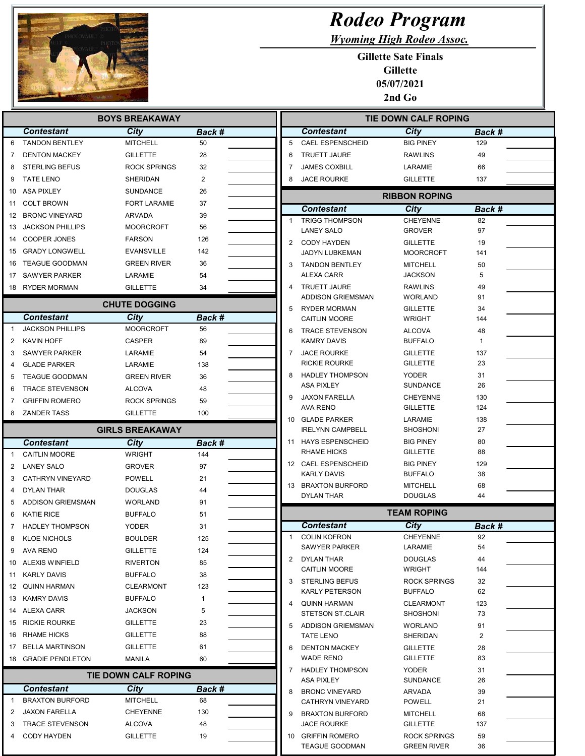

## Rodeo Program

Wyoming High Rodeo Assoc.

Gillette Sate Finals Gillette 05/07/2021 2nd Go

|                | <b>BOYS BREAKAWAY</b>   |                             |                         |                | <b>TIE DOWN CALF ROPING</b>                     |                                    |                |  |
|----------------|-------------------------|-----------------------------|-------------------------|----------------|-------------------------------------------------|------------------------------------|----------------|--|
|                | <b>Contestant</b>       | <b>City</b>                 | Back #                  |                | Contestant                                      | City                               | <b>Back #</b>  |  |
| 6              | <b>TANDON BENTLEY</b>   | <b>MITCHELL</b>             | 50                      | 5              | <b>CAEL ESPENSCHEID</b>                         | <b>BIG PINEY</b>                   | 129            |  |
| 7              | <b>DENTON MACKEY</b>    | <b>GILLETTE</b>             | 28                      | 6              | <b>TRUETT JAURE</b>                             | <b>RAWLINS</b>                     | 49             |  |
| 8              | <b>STERLING BEFUS</b>   | <b>ROCK SPRINGS</b>         | 32                      | 7              | <b>JAMES COXBILL</b>                            | LARAMIE                            | 66             |  |
| 9              | <b>TATE LENO</b>        | SHERIDAN                    | $\overline{\mathbf{c}}$ | 8              | <b>JACE ROURKE</b>                              | <b>GILLETTE</b>                    | 137            |  |
| 10             | ASA PIXLEY              | <b>SUNDANCE</b>             | 26                      |                |                                                 | <b>RIBBON ROPING</b>               |                |  |
| 11             | <b>COLT BROWN</b>       | <b>FORT LARAMIE</b>         | 37                      |                | <b>Contestant</b>                               | City                               | <b>Back #</b>  |  |
|                | 12 BRONC VINEYARD       | <b>ARVADA</b>               | 39                      | -1             | <b>TRIGG THOMPSON</b>                           | <b>CHEYENNE</b>                    | 82             |  |
|                | 13 JACKSON PHILLIPS     | <b>MOORCROFT</b>            | 56                      |                | <b>LANEY SALO</b>                               | <b>GROVER</b>                      | 97             |  |
|                | 14 COOPER JONES         | <b>FARSON</b>               | 126                     | $\overline{2}$ | <b>CODY HAYDEN</b>                              | <b>GILLETTE</b>                    | 19             |  |
|                | 15 GRADY LONGWELL       | <b>EVANSVILLE</b>           | 142                     |                | JADYN LUBKEMAN                                  | MOORCROFT                          | 141            |  |
| 16             | <b>TEAGUE GOODMAN</b>   | <b>GREEN RIVER</b>          | 36                      | 3              | <b>TANDON BENTLEY</b>                           | MITCHELL                           | 50             |  |
|                | 17 SAWYER PARKER        | LARAMIE                     | 54                      |                | <b>ALEXA CARR</b>                               | JACKSON                            | 5              |  |
|                | 18 RYDER MORMAN         | <b>GILLETTE</b>             | 34                      | 4              | <b>TRUETT JAURE</b><br><b>ADDISON GRIEMSMAN</b> | <b>RAWLINS</b><br><b>WORLAND</b>   | 49<br>91       |  |
|                |                         | <b>CHUTE DOGGING</b>        |                         | 5              | <b>RYDER MORMAN</b>                             | <b>GILLETTE</b>                    | 34             |  |
|                | <b>Contestant</b>       | City                        | Back #                  |                | <b>CAITLIN MOORE</b>                            | <b>WRIGHT</b>                      | 144            |  |
| $\overline{1}$ | <b>JACKSON PHILLIPS</b> | <b>MOORCROFT</b>            | 56                      | 6              | <b>TRACE STEVENSON</b>                          | ALCOVA                             | 48             |  |
| $\overline{2}$ | <b>KAVIN HOFF</b>       | <b>CASPER</b>               | 89                      |                | <b>KAMRY DAVIS</b>                              | <b>BUFFALO</b>                     | 1              |  |
| 3              | <b>SAWYER PARKER</b>    | LARAMIE                     | 54                      | $\overline{7}$ | <b>JACE ROURKE</b>                              | <b>GILLETTE</b>                    | 137            |  |
| 4              | <b>GLADE PARKER</b>     | LARAMIE                     | 138                     |                | RICKIE ROURKE                                   | <b>GILLETTE</b>                    | 23             |  |
| 5              | <b>TEAGUE GOODMAN</b>   | <b>GREEN RIVER</b>          | 36                      | 8              | <b>HADLEY THOMPSON</b>                          | YODER                              | 31             |  |
| 6              | <b>TRACE STEVENSON</b>  | <b>ALCOVA</b>               | 48                      |                | <b>ASA PIXLEY</b>                               | SUNDANCE                           | 26             |  |
| 7              | <b>GRIFFIN ROMERO</b>   | <b>ROCK SPRINGS</b>         | 59                      | 9              | <b>JAXON FARELLA</b><br><b>AVA RENO</b>         | <b>CHEYENNE</b><br><b>GILLETTE</b> | 130<br>124     |  |
| 8              | <b>ZANDER TASS</b>      | <b>GILLETTE</b>             | 100                     |                | 10 GLADE PARKER                                 | LARAMIE                            | 138            |  |
|                |                         | <b>GIRLS BREAKAWAY</b>      |                         |                | <b>IRELYNN CAMPBELL</b>                         | SHOSHONI                           | 27             |  |
|                | <b>Contestant</b>       | City                        | Back #                  |                | 11 HAYS ESPENSCHEID                             | <b>BIG PINEY</b>                   | 80             |  |
| 1              | <b>CAITLIN MOORE</b>    | <b>WRIGHT</b>               | 144                     |                | RHAME HICKS                                     | <b>GILLETTE</b>                    | 88             |  |
| 2              | <b>LANEY SALO</b>       | <b>GROVER</b>               | 97                      |                | 12 CAEL ESPENSCHEID                             | <b>BIG PINEY</b>                   | 129            |  |
| 3              | CATHRYN VINEYARD        | <b>POWELL</b>               | 21                      |                | KARLY DAVIS                                     | <b>BUFFALO</b>                     | 38             |  |
| 4              | <b>DYLAN THAR</b>       | <b>DOUGLAS</b>              | 44                      |                | 13 BRAXTON BURFORD<br>DYLAN THAR                | MITCHELL<br>DOUGLAS                | 68<br>44       |  |
| 5              | ADDISON GRIEMSMAN       | <b>WORLAND</b>              | 91                      |                |                                                 |                                    |                |  |
| 6              | <b>KATIE RICE</b>       | <b>BUFFALO</b>              | 51                      |                |                                                 | <b>TEAM ROPING</b>                 |                |  |
| 7              | <b>HADLEY THOMPSON</b>  | <b>YODER</b>                | 31                      |                | <b>Contestant</b>                               | City                               | Back #         |  |
| 8              | KLOF NICHOLS            | <b>BOULDER</b>              | 125                     | -1             | <b>COLIN KOFRON</b>                             | <b>CHEYENNE</b>                    | 92             |  |
| 9              | AVA RENO                | <b>GILLETTE</b>             | 124                     |                | <b>SAWYER PARKER</b>                            | LARAMIE                            | 54             |  |
|                | 10 ALEXIS WINFIELD      | <b>RIVERTON</b>             | 85                      | 2              | <b>DYLAN THAR</b><br><b>CAITLIN MOORE</b>       | <b>DOUGLAS</b><br><b>WRIGHT</b>    | 44<br>144      |  |
|                | 11 KARLY DAVIS          | <b>BUFFALO</b>              | 38                      | 3              | <b>STERLING BEFUS</b>                           | <b>ROCK SPRINGS</b>                | 32             |  |
|                | 12 QUINN HARMAN         | <b>CLEARMONT</b>            | 123                     |                | <b>KARLY PETERSON</b>                           | <b>BUFFALO</b>                     | 62             |  |
|                | 13 KAMRY DAVIS          | <b>BUFFALO</b>              | $\mathbf{1}$            | 4              | <b>QUINN HARMAN</b>                             | <b>CLEARMONT</b>                   | 123            |  |
|                | 14 ALEXA CARR           | <b>JACKSON</b>              | 5                       |                | <b>STETSON ST.CLAIR</b>                         | SHOSHONI                           | 73             |  |
|                | 15 RICKIE ROURKE        | <b>GILLETTE</b>             | 23                      | 5              | ADDISON GRIEMSMAN                               | <b>WORLAND</b>                     | 91             |  |
|                | 16 RHAME HICKS          | <b>GILLETTE</b>             | 88                      |                | <b>TATE LENO</b>                                | SHERIDAN                           | $\overline{2}$ |  |
|                | 17 BELLA MARTINSON      | <b>GILLETTE</b>             | 61                      | 6              | <b>DENTON MACKEY</b>                            | <b>GILLETTE</b>                    | 28             |  |
|                | 18 GRADIE PENDLETON     | <b>MANILA</b>               | 60                      |                | <b>WADE RENO</b>                                | <b>GILLETTE</b>                    | 83             |  |
|                |                         | <b>TIE DOWN CALF ROPING</b> |                         | 7              | <b>HADLEY THOMPSON</b><br><b>ASA PIXLEY</b>     | <b>YODER</b><br><b>SUNDANCE</b>    | 31<br>26       |  |
|                | <b>Contestant</b>       | City                        | Back #                  | 8              | <b>BRONC VINEYARD</b>                           | ARVADA                             | 39             |  |
| -1             | <b>BRAXTON BURFORD</b>  | <b>MITCHELL</b>             | 68                      |                | <b>CATHRYN VINEYARD</b>                         | <b>POWELL</b>                      | 21             |  |
| $\overline{2}$ | <b>JAXON FARELLA</b>    | <b>CHEYENNE</b>             | 130                     | 9              | <b>BRAXTON BURFORD</b>                          | <b>MITCHELL</b>                    | 68             |  |
| 3              | <b>TRACE STEVENSON</b>  | <b>ALCOVA</b>               | 48                      |                | <b>JACE ROURKE</b>                              | <b>GILLETTE</b>                    | 137            |  |
| 4              | <b>CODY HAYDEN</b>      | <b>GILLETTE</b>             | 19                      |                | 10 GRIFFIN ROMERO                               | <b>ROCK SPRINGS</b>                | 59             |  |
|                |                         |                             |                         |                | <b>TEAGUE GOODMAN</b>                           | <b>GREEN RIVER</b>                 | 36             |  |